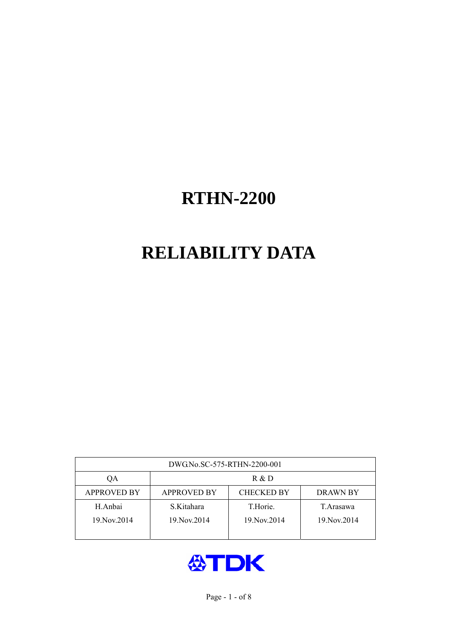# **RELIABILITY DATA**

| DWG.No.SC-575-RTHN-2200-001 |                    |                   |             |  |
|-----------------------------|--------------------|-------------------|-------------|--|
| OA                          | R & D              |                   |             |  |
| <b>APPROVED BY</b>          | <b>APPROVED BY</b> | <b>CHECKED BY</b> | DRAWN BY    |  |
| H.Anbai                     | S.Kitahara         | T.Horie.          | T. Arasawa  |  |
| 19. Nov. 2014               | 19. Nov. 2014      | 19. Nov. 2014     | 19 Nov 2014 |  |
|                             |                    |                   |             |  |

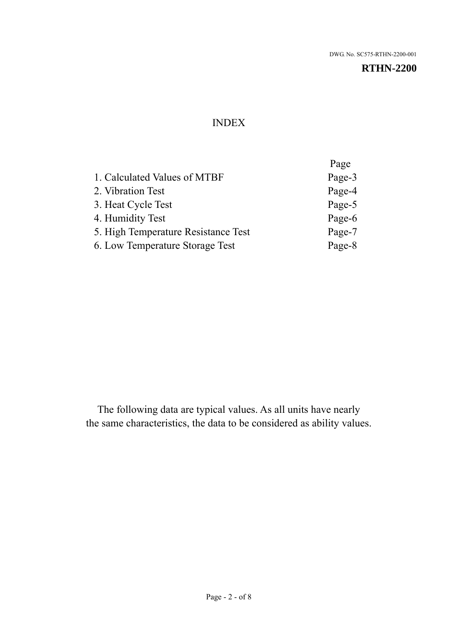### INDEX

|                                     | Page   |
|-------------------------------------|--------|
| 1. Calculated Values of MTBF        | Page-3 |
| 2. Vibration Test                   | Page-4 |
| 3. Heat Cycle Test                  | Page-5 |
| 4. Humidity Test                    | Page-6 |
| 5. High Temperature Resistance Test | Page-7 |
| 6. Low Temperature Storage Test     | Page-8 |
|                                     |        |

The following data are typical values. As all units have nearly the same characteristics, the data to be considered as ability values.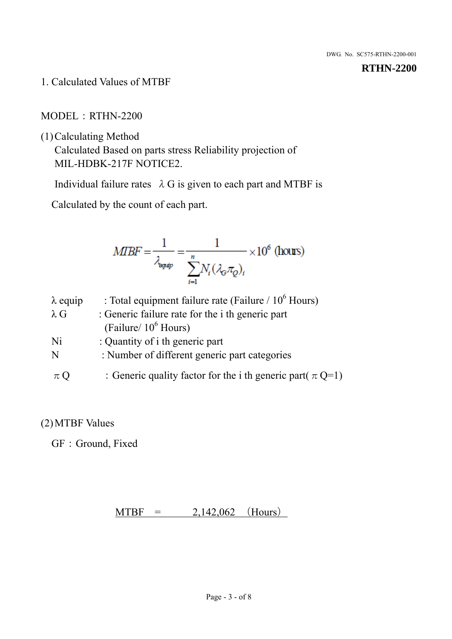1. Calculated Values of MTBF

MODEL:RTHN-2200

(1)Calculating Method

Calculated Based on parts stress Reliability projection of MIL-HDBK-217F NOTICE2.

Individual failure rates  $\lambda$  G is given to each part and MTBF is

Calculated by the count of each part.

$$
MIBF = \frac{1}{\lambda_{\text{expap}}} = \frac{1}{\sum_{i=1}^{n} N_i (\lambda_{\text{G}} \pi_Q)_i} \times 10^6 \text{ (hours)}
$$

| $\lambda$ equip | : Total equipment failure rate (Failure / $10^6$ Hours)         |
|-----------------|-----------------------------------------------------------------|
| $\lambda$ G     | : Generic failure rate for the <i>i</i> th generic part         |
|                 | (Failure/ $10^6$ Hours)                                         |
| Ni              | : Quantity of i th generic part                                 |
| N               | : Number of different generic part categories                   |
| $\pi Q$         | : Generic quality factor for the i th generic part( $\pi Q=1$ ) |

## (2)MTBF Values

GF: Ground, Fixed

 $MTBF = 2,142,062$  (Hours)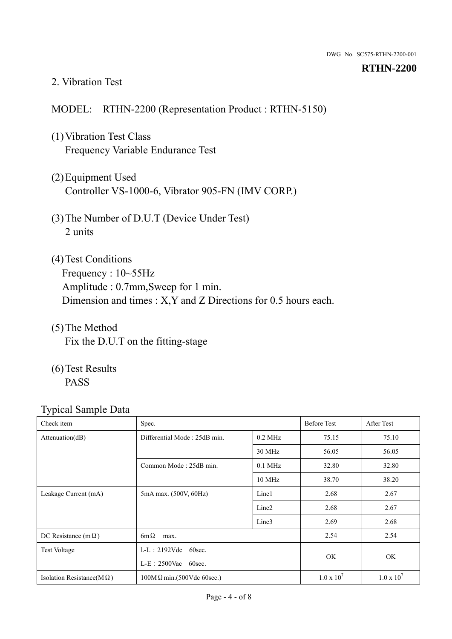### 2. Vibration Test

### MODEL: RTHN-2200 (Representation Product : RTHN-5150)

- (1)Vibration Test Class Frequency Variable Endurance Test
- (2)Equipment Used Controller VS-1000-6, Vibrator 905-FN (IMV CORP.)
- (3)The Number of D.U.T (Device Under Test) 2 units
- (4)Test Conditions Frequency : 10~55Hz Amplitude : 0.7mm,Sweep for 1 min. Dimension and times : X,Y and Z Directions for 0.5 hours each.
- (5)The Method Fix the D.U.T on the fitting-stage
- (6)Test Results PASS

| $\sim$ 1<br>Check item            | Spec.                                            |                   | <b>Before Test</b> | After Test        |
|-----------------------------------|--------------------------------------------------|-------------------|--------------------|-------------------|
| Attenuation(dB)                   | Differential Mode: 25dB min.                     | $0.2$ MHz         | 75.15              | 75.10             |
|                                   |                                                  | 30 MHz            | 56.05              | 56.05             |
|                                   | Common Mode: 25dB min.                           | $0.1$ MHz         | 32.80              | 32.80             |
|                                   |                                                  | 10 MHz            | 38.70              | 38.20             |
| Leakage Current (mA)              | 5mA max. (500V, 60Hz)                            | Line1             | 2.68               | 2.67              |
|                                   |                                                  | Line <sub>2</sub> | 2.68               | 2.67              |
|                                   |                                                  | Line3             | 2.69               | 2.68              |
| DC Resistance (m $\Omega$ )       | $6m\Omega$<br>max.                               |                   | 2.54               | 2.54              |
| <b>Test Voltage</b>               | $L-L$ : 2192Vdc 60sec.<br>$L-E$ : 2500Vac 60sec. |                   |                    |                   |
|                                   |                                                  |                   | OK.                | OK                |
| Isolation Resistance( $M\Omega$ ) | $100M\Omega$ min.(500Vdc 60sec.)                 |                   | $1.0 \times 10^7$  | $1.0 \times 10^7$ |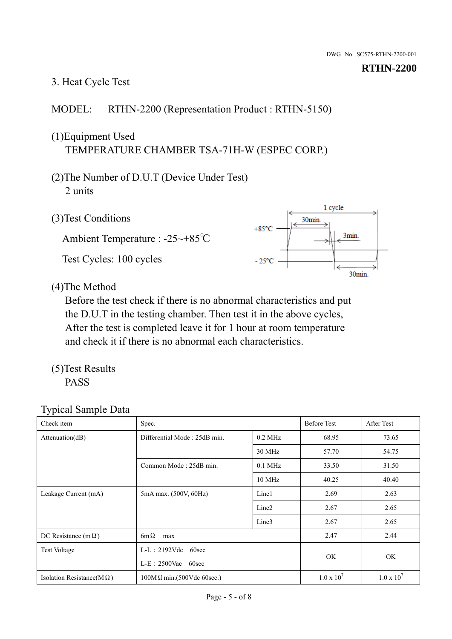# 3. Heat Cycle Test

## MODEL: RTHN-2200 (Representation Product : RTHN-5150)

## (1)Equipment Used TEMPERATURE CHAMBER TSA-71H-W (ESPEC CORP.)

- (2)The Number of D.U.T (Device Under Test) 2 units
- (3)Test Conditions

Ambient Temperature : -25~+85℃ Test Cycles: 100 cycles



(4)The Method

Before the test check if there is no abnormal characteristics and put the D.U.T in the testing chamber. Then test it in the above cycles, After the test is completed leave it for 1 hour at room temperature and check it if there is no abnormal each characteristics.

(5)Test Results PASS

| Check item                        | Spec.                                            |                   | <b>Before Test</b>  | After Test        |
|-----------------------------------|--------------------------------------------------|-------------------|---------------------|-------------------|
| Attenuation(dB)                   | Differential Mode: 25dB min.                     | $0.2$ MHz         | 68.95               | 73.65             |
|                                   |                                                  | 30 MHz            | 57.70               | 54.75             |
|                                   | Common Mode: 25dB min.                           | $0.1$ MHz         | 33.50               | 31.50             |
|                                   |                                                  | 10 MHz            | 40.25               | 40.40             |
| Leakage Current (mA)              | 5mA max. (500V, 60Hz)                            | Line1             | 2.69                | 2.63              |
|                                   |                                                  | Line <sub>2</sub> | 2.67                | 2.65              |
|                                   |                                                  | Line3             | 2.67                | 2.65              |
| DC Resistance (m $\Omega$ )       | $6m\Omega$<br>max                                |                   | 2.47                | 2.44              |
| <b>Test Voltage</b>               | $L-L: 2192Vdc$<br>60sec<br>$L-E$ : 2500Vac 60sec |                   | OK.                 | OK                |
|                                   |                                                  |                   |                     |                   |
| Isolation Resistance( $M\Omega$ ) | $100M\Omega$ min.(500Vdc 60sec.)                 |                   | $1.0 \times 10^{7}$ | $1.0 \times 10^7$ |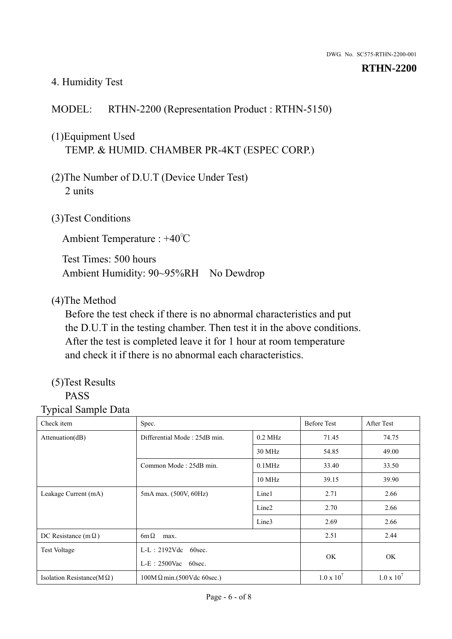#### 4. Humidity Test

## MODEL: RTHN-2200 (Representation Product : RTHN-5150)

## (1)Equipment Used TEMP. & HUMID. CHAMBER PR-4KT (ESPEC CORP.)

- (2)The Number of D.U.T (Device Under Test) 2 units
- (3)Test Conditions

Ambient Temperature : +40℃

Test Times: 500 hours Ambient Humidity: 90~95%RH No Dewdrop

### (4)The Method

Before the test check if there is no abnormal characteristics and put the D.U.T in the testing chamber. Then test it in the above conditions. After the test is completed leave it for 1 hour at room temperature and check it if there is no abnormal each characteristics.

#### (5)Test Results PASS

# Typical Sample Data

Check item Spec. Spec. Spec. Spec. Spec. Spec. Spec. Spec. Spec. Spec. Spec. Spec. Spec. Spec. Spec. Spec. Spec. Spec. Spec. Spec. Spec. Spec. Spec. Spec. Spec. Spec. Spec. Spec. Spec. Spec. Spec. Spec. Spec. Spec. Spec. S Attenuation(dB) Differential Mode : 25dB min. 0.2 MHz 71.45 74.75 30 MHz 54.85 49.00 Common Mode : 25dB min.  $\vert$  0.1MHz  $\vert$  33.40 33.50 10 MHz 39.15 39.90 Leakage Current (mA) 5mA max. (500V, 60Hz) Line1 2.71 2.66 Line2 2.70 2.66 Line3 2.69 2.66 DC Resistance  $(m\Omega)$  6m $\Omega$  max. 2.51 2.44 Test Voltage L-L: 2192Vdc 60sec. L-E:2500Vac 60sec. OK OK Isolation Resistance(M  $\Omega$ ) 100M  $\Omega$  min.(500Vdc 60sec.) 1.0 x 10<sup>7</sup>  $1.0 \times 10^7$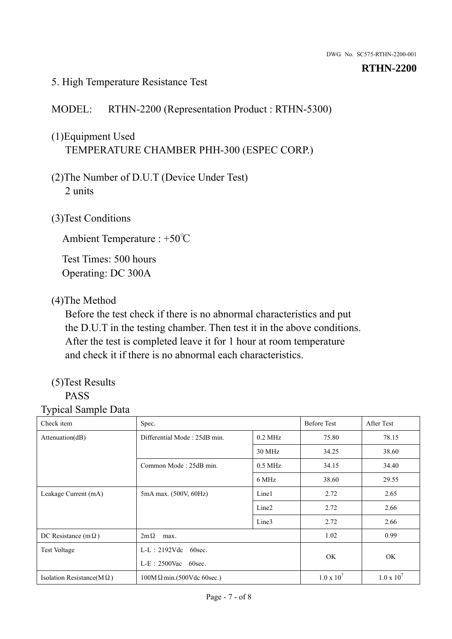### 5. High Temperature Resistance Test

### MODEL: RTHN-2200 (Representation Product : RTHN-5300)

## (1)Equipment Used TEMPERATURE CHAMBER PHH-300 (ESPEC CORP.)

- (2)The Number of D.U.T (Device Under Test) 2 units
- (3)Test Conditions

Ambient Temperature : +50℃

Test Times: 500 hours Operating: DC 300A

### (4)The Method

Before the test check if there is no abnormal characteristics and put the D.U.T in the testing chamber. Then test it in the above conditions. After the test is completed leave it for 1 hour at room temperature and check it if there is no abnormal each characteristics.

#### (5)Test Results PASS

| Check item                        | Spec.                                              |                   | <b>Before Test</b>  | After Test          |  |
|-----------------------------------|----------------------------------------------------|-------------------|---------------------|---------------------|--|
| Attenuation(dB)                   | Differential Mode: 25dB min.                       | $0.2$ MHz         | 75.80               | 78.15               |  |
|                                   |                                                    | 30 MHz            | 34.25               | 38.60               |  |
|                                   | Common Mode: 25dB min.                             | $0.5$ MHz         | 34.15               | 34.40               |  |
|                                   |                                                    | 6 MHz             | 38.60               | 29.55               |  |
| Leakage Current (mA)              | 5mA max. (500V, 60Hz)                              | Line1             | 2.72                | 2.65                |  |
|                                   |                                                    | Line <sub>2</sub> | 2.72                | 2.66                |  |
|                                   |                                                    | Line3             | 2.72                | 2.66                |  |
| DC Resistance (m $\Omega$ )       | $2m\Omega$<br>max.                                 |                   | 1.02                | 0.99                |  |
| <b>Test Voltage</b>               | $L-L: 2192Vdc$<br>60sec.<br>$L-E$ : 2500Vac 60sec. |                   | OK                  | OK                  |  |
|                                   |                                                    |                   |                     |                     |  |
| Isolation Resistance(M $\Omega$ ) | $100M\Omega$ min.(500Vdc 60sec.)                   |                   | $1.0 \times 10^{7}$ | $1.0 \times 10^{7}$ |  |